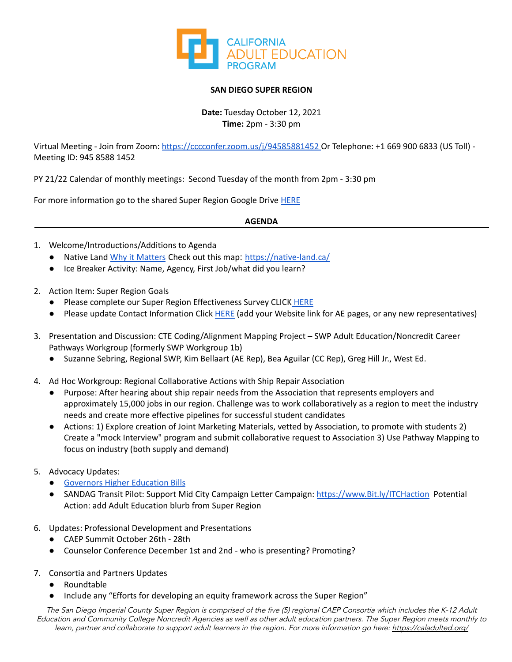

## **SAN DIEGO SUPER REGION**

**Date:** Tuesday October 12, 2021 **Time:** 2pm - 3:30 pm

Virtual Meeting - Join from Zoom: <https://cccconfer.zoom.us/j/94585881452> Or Telephone: +1 669 900 6833 (US Toll) -Meeting ID: 945 8588 1452

PY 21/22 Calendar of monthly meetings: Second Tuesday of the month from 2pm - 3:30 pm

For more information go to the shared Super Region Google Drive [HERE](https://drive.google.com/drive/folders/1ecyNAJ-ze7fPFNC3dOThh3mLvyPohte1)

## **AGENDA**

- 1. Welcome/Introductions/Additions to Agenda
	- Native Land Why it [Matters](https://native-land.ca/about/why-it-matters/) Check out this map: <https://native-land.ca/>
	- Ice Breaker Activity: Name, Agency, First Job/what did you learn?
- 2. Action Item: Super Region Goals
	- Please complete our Super Region Effectiveness Survey CLICK [HERE](https://docs.google.com/forms/d/e/1FAIpQLSeTVasPxcNBjP4yFzmtmkNAFmx4jtlt-oVPkMoDcK4F6PUjew/viewform)
	- Please update Contact Information Click [HERE](https://docs.google.com/spreadsheets/d/1vnnM25Ns2JjzqPCb0vuNg4dgPE0bd1GO/edit?usp=sharing&ouid=103017308825430690061&rtpof=true&sd=true) (add your Website link for AE pages, or any new representatives)
- 3. Presentation and Discussion: CTE Coding/Alignment Mapping Project SWP Adult Education/Noncredit Career Pathways Workgroup (formerly SWP Workgroup 1b)
	- Suzanne Sebring, Regional SWP, Kim Bellaart (AE Rep), Bea Aguilar (CC Rep), Greg Hill Jr., West Ed.
- 4. Ad Hoc Workgroup: Regional Collaborative Actions with Ship Repair Association
	- Purpose: After hearing about ship repair needs from the Association that represents employers and approximately 15,000 jobs in our region. Challenge was to work collaboratively as a region to meet the industry needs and create more effective pipelines for successful student candidates
	- Actions: 1) Explore creation of Joint Marketing Materials, vetted by Association, to promote with students 2) Create a "mock Interview" program and submit collaborative request to Association 3) Use Pathway Mapping to focus on industry (both supply and demand)
- 5. Advocacy Updates:
	- [Governors](http://www.legacy.sscal.com/accca.cfm?a=5624&p=24987&action=week_view&contentID=23723) Higher Education Bills
	- SANDAG Transit Pilot: Support Mid City Campaign Letter Campaign: [https://www.Bit.ly/ITCHaction](https://www.bit.ly/ITCHaction) Potential Action: add Adult Education blurb from Super Region
- 6. Updates: Professional Development and Presentations
	- CAEP Summit October 26th 28th
	- Counselor Conference December 1st and 2nd who is presenting? Promoting?
- 7. Consortia and Partners Updates
	- Roundtable
	- Include any "Efforts for developing an equity framework across the Super Region"

The San Diego Imperial County Super Region is comprised of the five (5) regional CAEP Consortia which includes the K-12 Adult Education and Community College Noncredit Agencies as well as other adult education partners. The Super Region meets monthly to learn, partner and collaborate to support adult learners in the region. For more information go here: <https://caladulted.org/>